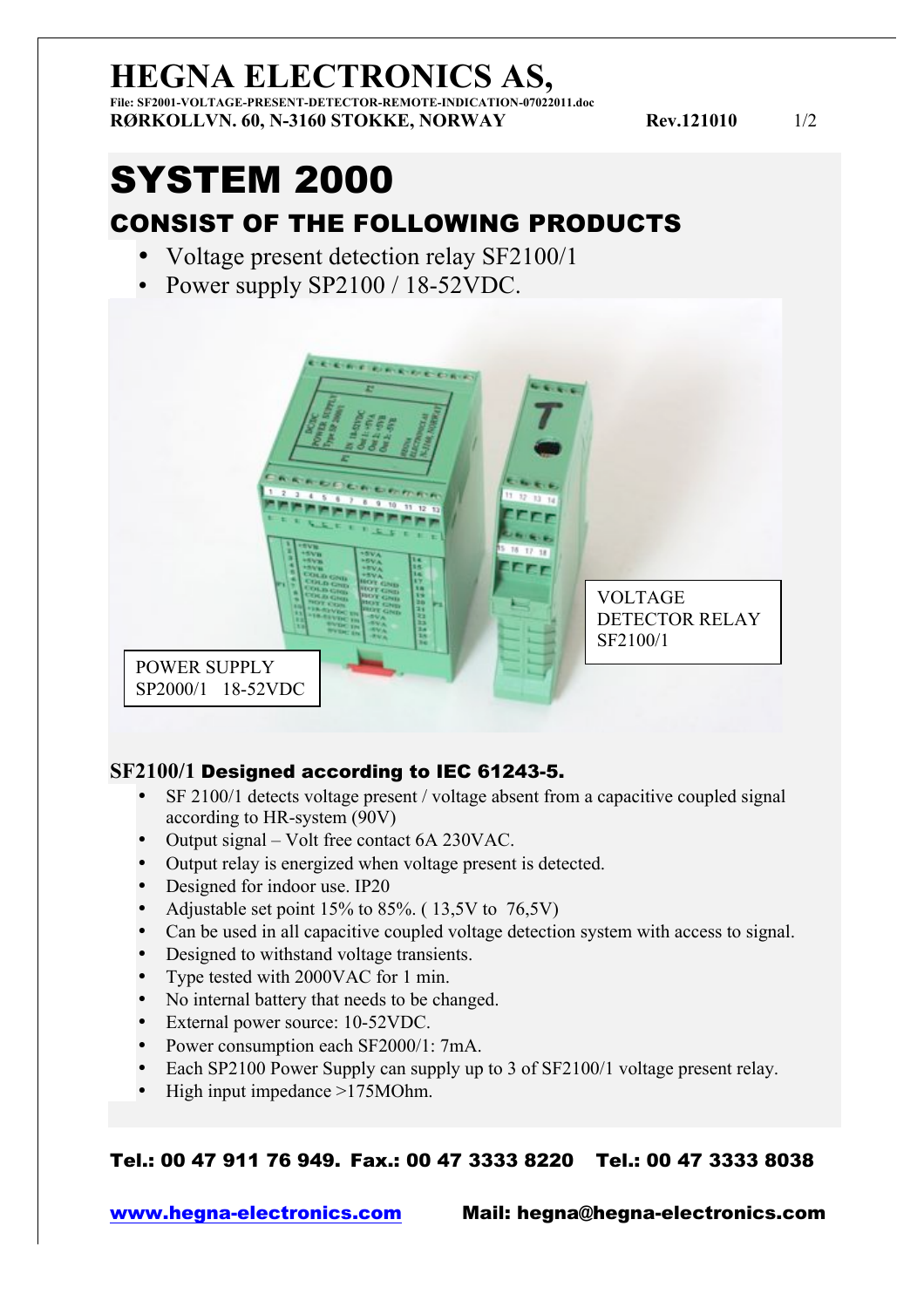## **HEGNA ELECTRONICS AS,**

**File: SF2001-VOLTAGE-PRESENT-DETECTOR-REMOTE-INDICATION-07022011.doc RØRKOLLVN. 60, N-3160 STOKKE, NORWAY Rev.121010** 1/2

# SYSTEM 2000

### CONSIST OF THE FOLLOWING PRODUCTS

- Voltage present detection relay SF2100/1
- Power supply SP2100 / 18-52VDC.



#### **SF2100/1** Designed according to IEC 61243-5.

- SF 2100/1 detects voltage present / voltage absent from a capacitive coupled signal according to HR-system (90V)
- Output signal Volt free contact 6A 230VAC.
- Output relay is energized when voltage present is detected.
- Designed for indoor use. IP20
- Adjustable set point  $15\%$  to  $85\%$ . ( $13,5V$  to  $76,5V$ )
- Can be used in all capacitive coupled voltage detection system with access to signal.
- Designed to withstand voltage transients.
- Type tested with 2000VAC for 1 min.
- No internal battery that needs to be changed.
- External power source: 10-52VDC.
- Power consumption each SF2000/1: 7mA.
- Each SP2100 Power Supply can supply up to 3 of SF2100/1 voltage present relay.
- High input impedance >175MOhm.

#### Tel.: 00 47 911 76 949. Fax.: 00 47 3333 8220 Tel.: 00 47 3333 8038

www.hegna-electronics.com Mail: hegna@hegna-electronics.com